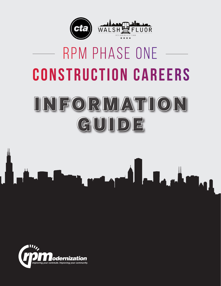

# **C o n s t r u c t i o n C a r e e r s**  RPM Phase One

# I N F O R M AT I O N I N F O R M AT I O N GUIDE GUIDE



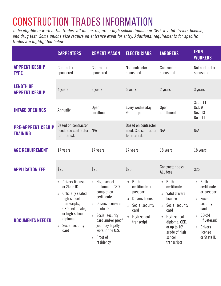# Construction Trades Information

To be eligible to work in the trades, all unions require a high school diploma or GED, a valid drivers license, and drug test. Some unions also require an entrance exam for entry. Additional requirements for specific trades are highlighted below.

|                                              | <b>CARPENTERS</b>                                                                                                                                                    | <b>CEMENT MASON</b>                                                                                                                                                                                          | <b>ELECTRICIANS</b>                                                                                                    | <b>LABORERS</b>                                                                                                                                                                | <b>IRON</b><br><b>WORKERS</b>                                                                                                               |
|----------------------------------------------|----------------------------------------------------------------------------------------------------------------------------------------------------------------------|--------------------------------------------------------------------------------------------------------------------------------------------------------------------------------------------------------------|------------------------------------------------------------------------------------------------------------------------|--------------------------------------------------------------------------------------------------------------------------------------------------------------------------------|---------------------------------------------------------------------------------------------------------------------------------------------|
| <b>APPRENTICESHIP</b><br><b>TYPE</b>         | Contractor<br>sponsored                                                                                                                                              | Contractor<br>sponsored                                                                                                                                                                                      | Not contractor<br>sponsored                                                                                            | Contractor<br>sponsored                                                                                                                                                        | Not contractor<br>sponsored                                                                                                                 |
| <b>LENGTH OF</b><br><b>APPRENTICESHIP</b>    | 4 years                                                                                                                                                              | 3 years                                                                                                                                                                                                      | 5 years                                                                                                                | 2 years                                                                                                                                                                        | 3 years                                                                                                                                     |
| <b>INTAKE OPENINGS</b>                       | Annually                                                                                                                                                             | Open<br>enrollment                                                                                                                                                                                           | Every Wednesday<br>9am-11pm                                                                                            | Open<br>enrollment                                                                                                                                                             | Sept. 11<br>Oct. 9<br>Nov. 13<br>Dec. 11                                                                                                    |
| <b>PRE-APPRENTICESHIP</b><br><b>TRAINING</b> | Based on contractor<br>need. See contractor N/A<br>for interest.                                                                                                     |                                                                                                                                                                                                              | Based on contractor<br>need. See contractor N/A<br>for interest.                                                       |                                                                                                                                                                                | N/A                                                                                                                                         |
| <b>AGE REQUIREMENT</b>                       | 17 years                                                                                                                                                             | 17 years                                                                                                                                                                                                     | 17 years                                                                                                               | 18 years                                                                                                                                                                       | 18 years                                                                                                                                    |
| <b>APPLICATION FEE</b>                       | \$25                                                                                                                                                                 | \$25                                                                                                                                                                                                         | \$25                                                                                                                   | Contractor pays<br>ALL fees                                                                                                                                                    | \$25                                                                                                                                        |
| <b>DOCUMENTS NEEDED</b>                      | » Drivers license<br>or State ID<br>» Officially sealed<br>high school<br>transcripts,<br>GED certificate,<br>or high school<br>diploma<br>» Social security<br>card | » High school<br>diploma or GED<br>completion<br>certificate<br>» Drivers license or<br>photo ID<br>» Social security<br>card and/or proof<br>you may legally<br>work in the U.S.<br>» Proof of<br>residency | » Birth<br>certificate or<br>passport<br>» Drivers license<br>» Social security<br>card<br>» High school<br>transcript | » Birth<br>certificate<br>» Valid drivers<br>license<br>» Social security<br>card<br>» High school<br>diploma, GED,<br>or up to 10th<br>grade of high<br>school<br>transcripts | » Birth<br>certificate<br>or passport<br>» Social<br>security<br>card<br>$\gg$ DD-24<br>(if veteran)<br>» Drivers<br>license<br>or State ID |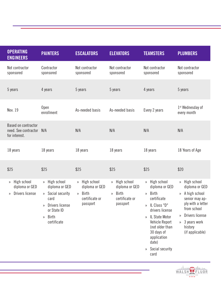|               | <b>OPERATING</b><br><b>PAINTERS</b><br><b>ENGINEERS</b>                                                                                                                                           | <b>ESCALATORS</b>                                                                       | <b>ELEVATORS</b>                                                         | <b>TEAMSTERS</b>                                                                                                                                                                                                           | <b>PLUMBERS</b>                                                                                                                                                               |
|---------------|---------------------------------------------------------------------------------------------------------------------------------------------------------------------------------------------------|-----------------------------------------------------------------------------------------|--------------------------------------------------------------------------|----------------------------------------------------------------------------------------------------------------------------------------------------------------------------------------------------------------------------|-------------------------------------------------------------------------------------------------------------------------------------------------------------------------------|
| sponsored     | Not contractor<br>Contractor<br>sponsored                                                                                                                                                         | Not contractor<br>sponsored                                                             | Not contractor<br>sponsored                                              | Not contractor<br>sponsored                                                                                                                                                                                                | Not contractor<br>sponsored                                                                                                                                                   |
| 5 years       | 4 years                                                                                                                                                                                           | 5 years                                                                                 | 5 years                                                                  | 4 years                                                                                                                                                                                                                    | 5 years                                                                                                                                                                       |
| Nov. 19       | Open<br>enrollment                                                                                                                                                                                | As-needed basis                                                                         | As-needed basis                                                          | Every 2 years                                                                                                                                                                                                              | 1 <sup>st</sup> Wednesday of<br>every month                                                                                                                                   |
| for interest. | Based on contractor<br>need. See contractor N/A                                                                                                                                                   | N/A                                                                                     | N/A                                                                      | N/A                                                                                                                                                                                                                        | N/A                                                                                                                                                                           |
| 18 years      | 18 years                                                                                                                                                                                          | 18 years                                                                                | 18 years                                                                 | 18 years                                                                                                                                                                                                                   | 18 Years of Age                                                                                                                                                               |
| \$25          | \$25                                                                                                                                                                                              | \$25                                                                                    | \$25                                                                     | \$25                                                                                                                                                                                                                       | \$20                                                                                                                                                                          |
|               | » High school<br>» High school<br>diploma or GED<br>diploma or GED<br>» Drivers license<br>Social security<br>$\mathcal{Y}$<br>card<br>» Drivers license<br>or State ID<br>» Birth<br>certificate | » High school<br>diploma or GED<br>Birth<br>$\mathcal{Y}$<br>certificate or<br>passport | » High school<br>diploma or GED<br>» Birth<br>certificate or<br>passport | » High school<br>diploma or GED<br>» Birth<br>certificate<br>» IL Class "D"<br>drivers license<br>» IL State Motor<br>Vehicle Report<br>(not older than<br>30 days of<br>application<br>date)<br>» Social security<br>card | » High school<br>diploma or GED<br>» A high school<br>senior may ap-<br>ply with a letter<br>from school<br>» Drivers license<br>» 3 years work<br>history<br>(if applicable) |

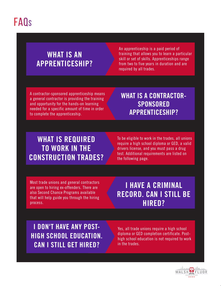## FAQs

### **WHAT IS AN APPRENTICESHIP?**

An apprenticeship is a paid period of training that allows you to learn a particular skill or set of skills. Apprenticeships range from two to five years in duration and are required by all trades.

A contractor-sponsored apprenticeship means a general contractor is providing the training and opportunity for the hands-on learning needed for a specific amount of time in order to complete the apprenticeship.

**WHAT IS A CONTRACTOR-SPONSORED APPRENTICESHIP?**

### **WHAT IS REQUIRED TO WORK IN THE CONSTRUCTION TRADES?**

To be eligible to work in the trades, all unions require a high school diploma or GED, a valid drivers license, and you must pass a drug test. Additional requirements are listed on the following page.

Most trade unions and general contractors are open to hiring ex-offenders. There are also Second Chance Programs available that will help guide you through the hiring process.

### **I HAVE A CRIMINAL RECORD. CAN I STILL BE HIRED?**

**I DON'T HAVE ANY POST-HIGH SCHOOL EDUCATION. CAN I STILL GET HIRED?**

Yes, all trade unions require a high school diploma or GED completion certificate. Posthigh school education is not required to work in the trades.

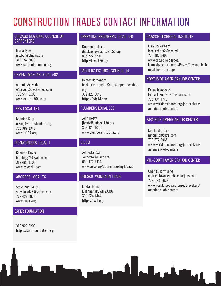## Construction Trades Contact Information

#### CHICAGO REGIONAL COUNCIL OF **CARPENTERS**

Maria Tybor mtybor@chicap.org 312.787.3076 www.carpentersunion.org

#### CEMENT MASONS LOCAL 502

Antonio Acevedo AAcevedo502@yahoo.com 708.544.9100 www.cmlocal502.com

#### IBEW LOCAL 134

Maurice King mking@in-techonline.org 708.389.1340 www.lu134.org

#### IRONWORKERS LOCAL 1

Kenneth Davis irondogg79@yahoo.com 312.480.1103 www.iwlocal1.com

#### LABORERS LOCAL 76

Steve Kastivales stevelocal76@yahoo.com 773.427.0076 www.liuna.org

#### SAFER FOUNDATION

312.922.2200 https://saferfoundation.org

#### OPERATING ENGINEERS LOCAL 150

Daphne Jackson djackson@asiplocal150.org 815.722.3201 http://local150.org

#### PAINTERS DISTRICT COUNCIL 14

Hector Hernandez hecktorhernandez@dc14apprenticeship. org 312.421.0046 https://pdc14.com

#### PLUMBERS LOCAL 130

John Hosty jhosty@ualocal130.org 312.421.1010 www.plumberslu130ua.org

#### **CISCO**

Johnetta Ryan Johnetta@cisco.org 630.472.9411 www.cisco.org/apprenticeship1/#aad

#### CHICAGO WOMEN IN TRADE

Linda Hannah LHannah@CWIT2.ORG 312.924.1444 https://cwit.org

#### DAWSON TECHNICAL INSTITUTE

Lisa Cockerham lcockerham2@ccc.edu 773.487.3692 www.ccc.edu/colleges/ kennedy/departments/Pages/Dawson-Technical-Institute.aspx

#### NORTHSIDE AMERICAN JOB CENTER

Enisa Jakopovic Enisa.Jakupovic@rescare.com 773.334.4747 www.workforceboard.org/job-seekers/ american-job-centers

#### WESTSIDE AMERICAN JOB CENTER

Nicole Morrison nmorrison@kra.com 773.772.3968 www.workforceboard.org/job-seekers/ american-job-centers

#### MID-SOUTH AMERICAN JOB CENTER

Charles Townsend charles.townsend@eesforjobs.com 773-538-5672 www.workforceboard.org/job-seekers/ american-job-centers